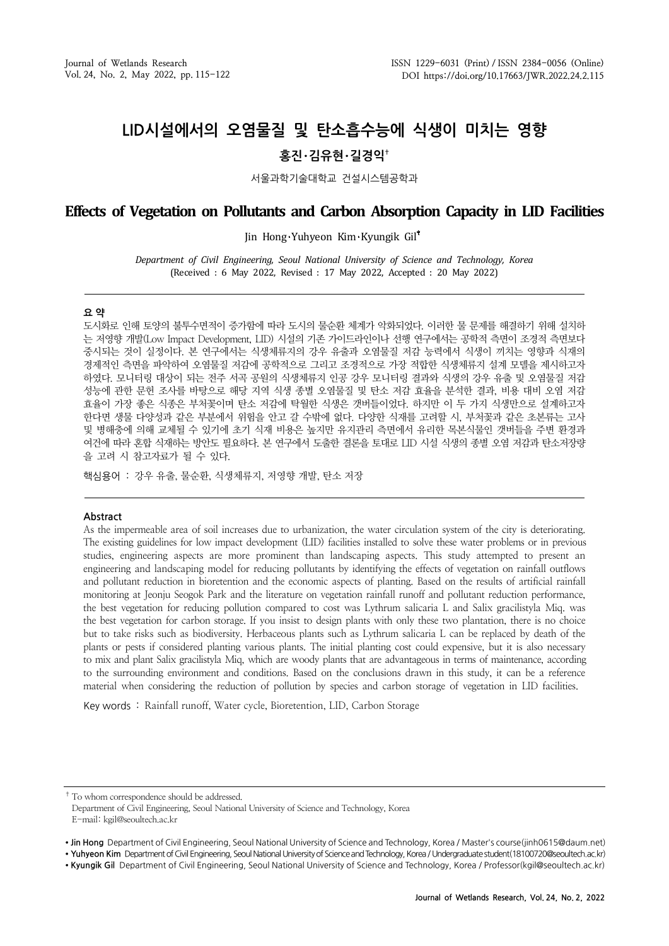# **LID시설에서의 오염물질 및 탄소흡수능에 식생이 미치는 영향**

# **홍진**・**김유현**・**길경익†**

서울과학기술대학교 건설시스템공학과

# **Effects of Vegetation on Pollutants and Carbon Absorption Capacity in LID Facilities**

Jin Hong Yuhyeon Kim Kyungik Gil

*Department of Civil Engineering, Seoul National University of Science and Technology, Korea* (Received : 6 May 2022, Revised : 17 May 2022, Accepted : 20 May 2022)

### **요 약**

도시화로 인해 토양의 불투수면적이 증가함에 따라 도시의 물순환 체계가 악화되었다. 이러한 물 문제를 해결하기 위해 설치하 는 저영향 개발(Low Impact Development, LID) 시설의 기존 가이드라인이나 선행 연구에서는 공학적 측면이 조경적 측면보다 중시되는 것이 실정이다. 본 연구에서는 식생체류지의 강우 유출과 오염물질 저감 능력에서 식생이 끼치는 영향과 식재의 경제적인 측면을 파악하여 오염물질 저감에 공학적으로 그리고 조경적으로 가장 적합한 식생체류지 설계 모델을 제시하고자 하였다. 모니터링 대상이 되는 전주 서곡 공원의 식생체류지 인공 강우 모니터링 결과와 식생의 강우 유출 및 오염물질 저감 성능에 관한 문헌 조사를 바탕으로 해당 지역 식생 종별 오염물질 및 탄소 저감 효율을 분석한 결과, 비용 대비 오염 저감 효율이 가장 좋은 식종은 부처꽃이며 탄소 저감에 탁월한 식생은 갯버들이었다. 하지만 이 두 가지 식생만으로 설계하고자 한다면 생물 다양성과 같은 부분에서 위험을 안고 갈 수밖에 없다. 다양한 식재를 고려할 시, 부처꽃과 같은 초본류는 고사 및 병해충에 의해 교체될 수 있기에 초기 식재 비용은 높지만 유지관리 측면에서 유리한 목본식물인 갯버들을 주변 환경과 여건에 따라 혼합 식재하는 방안도 필요하다. 본 연구에서 도출한 결론을 토대로 LID 시설 식생의 종별 오염 저감과 탄소저장량 을 고려 시 참고자료가 될 수 있다.

핵심용어 : 강우 유출, 물순환, 식생체류지, 저영향 개발, 탄소 저장

#### **Abstract**

As the impermeable area of soil increases due to urbanization, the water circulation system of the city is deteriorating. The existing guidelines for low impact development (LID) facilities installed to solve these water problems or in previous studies, engineering aspects are more prominent than landscaping aspects. This study attempted to present an engineering and landscaping model for reducing pollutants by identifying the effects of vegetation on rainfall outflows and pollutant reduction in bioretention and the economic aspects of planting. Based on the results of artificial rainfall monitoring at Jeonju Seogok Park and the literature on vegetation rainfall runoff and pollutant reduction performance, the best vegetation for reducing pollution compared to cost was Lythrum salicaria L and Salix gracilistyla Miq. was the best vegetation for carbon storage. If you insist to design plants with only these two plantation, there is no choice but to take risks such as biodiversity. Herbaceous plants such as Lythrum salicaria L can be replaced by death of the plants or pests if considered planting various plants. The initial planting cost could expensive, but it is also necessary to mix and plant Salix gracilistyla Miq, which are woody plants that are advantageous in terms of maintenance, according to the surrounding environment and conditions. Based on the conclusions drawn in this study, it can be a reference material when considering the reduction of pollution by species and carbon storage of vegetation in LID facilities.

Key words : Rainfall runoff, Water cycle, Bioretention, LID, Carbon Storage

<sup>†</sup> To whom correspondence should be addressed. Department of Civil Engineering, Seoul National University of Science and Technology, Korea E-mail: kgil@seoultech.ac.kr

<sup>∙</sup> **Jin Hong** Department of Civil Engineering, Seoul National University of Science and Technology, Korea / Master's course(jinh0615@daum.net)

<sup>∙</sup> **Yuhyeon Kim** Department of Civil Engineering, Seoul National University of Science and Technology, Korea / Undergraduate student(18100720@seoultech.ac.kr)

<sup>∙</sup> **Kyungik Gil** Department of Civil Engineering, Seoul National University of Science and Technology, Korea / Professor(kgil@seoultech.ac.kr)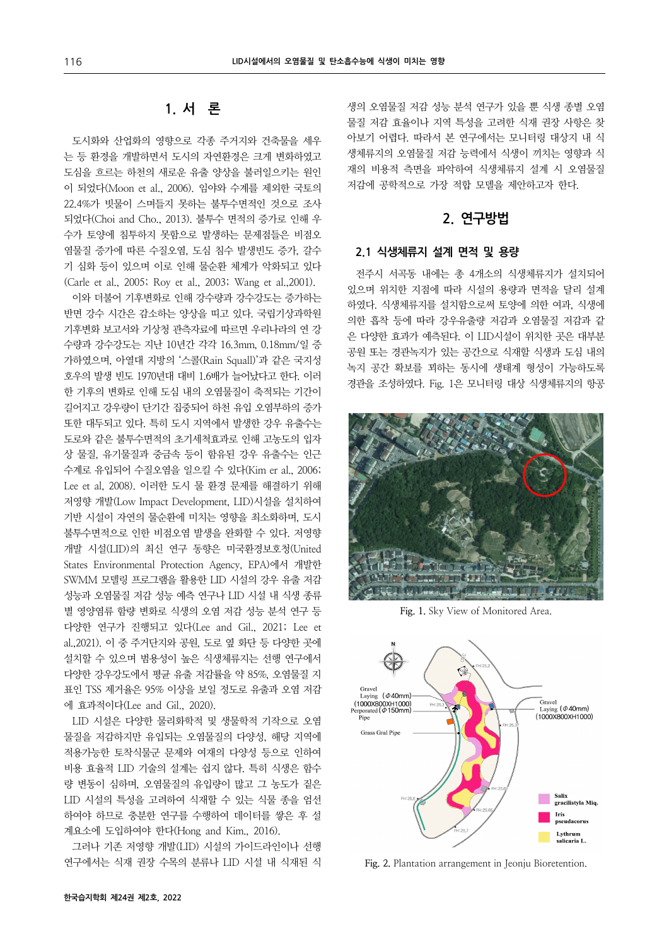# **1. 서 론**

도시화와 산업화의 영향으로 각종 주거지와 건축물을 세우 는 등 환경을 개발하면서 도시의 자연환경은 크게 변화하였고 도심을 흐르는 하천의 새로운 유출 양상을 불러일으키는 원인 이 되었다(Moon et al., 2006). 임야와 수계를 제외한 국토의 22.4%가 빗물이 스며들지 못하는 불투수면적인 것으로 조사 되었다(Choi and Cho., 2013). 불투수 면적의 증가로 인해 우 수가 토양에 침투하지 못함으로 발생하는 문제점들은 비점오 염물질 증가에 따른 수질오염, 도심 침수 발생빈도 증가, 갈수 기 심화 등이 있으며 이로 인해 물순환 체계가 악화되고 있다 (Carle et al., 2005; Roy et al., 2003; Wang et al.,2001).

이와 더불어 기후변화로 인해 강수량과 강수강도는 증가하는 반면 강수 시간은 감소하는 양상을 띠고 있다. 국립기상과학원 기후변화 보고서와 기상청 관측자료에 따르면 우리나라의 연 강 수량과 강수강도는 지난 10년간 각각 16.3mm, 0.18mm/일 증 가하였으며, 아열대 지방의 '스콜(Rain Squall)'과 같은 국지성 호우의 발생 빈도 1970년대 대비 1.6배가 늘어났다고 한다. 이러 한 기후의 변화로 인해 도심 내의 오염물질이 축적되는 기간이 길어지고 강우량이 단기간 집중되어 하천 유입 오염부하의 증가 또한 대두되고 있다. 특히 도시 지역에서 발생한 강우 유출수는 도로와 같은 불투수면적의 초기세척효과로 인해 고농도의 입자 상 물질, 유기물질과 중금속 등이 함유된 강우 유출수는 인근 수계로 유입되어 수질오염을 일으킬 수 있다(Kim er al., 2006; Lee et al, 2008). 이러한 도시 물 환경 문제를 해결하기 위해 저영향 개발(Low Impact Development, LID)시설을 설치하여 기반 시설이 자연의 물순환에 미치는 영향을 최소화하며, 도시 불투수면적으로 인한 비점오염 발생을 완화할 수 있다. 저영향 개발 시설(LID)의 최신 연구 동향은 미국환경보호청(United States Environmental Protection Agency, EPA)에서 개발한 SWMM 모델링 프로그램을 활용한 LID 시설의 강우 유출 저감 성능과 오염물질 저감 성능 예측 연구나 LID 시설 내 식생 종류 별 영양염류 함량 변화로 식생의 오염 저감 성능 분석 연구 등 다양한 연구가 진행되고 있다(Lee and Gil., 2021; Lee et al.,2021). 이 중 주거단지와 공원, 도로 옆 화단 등 다양한 곳에 설치할 수 있으며 범용성이 높은 식생체류지는 선행 연구에서 다양한 강우강도에서 평균 유출 저감률을 약 85%, 오염물질 지 표인 TSS 제거율은 95% 이상을 보일 정도로 유출과 오염 저감 에 효과적이다(Lee and Gil., 2020).

LID 시설은 다양한 물리화학적 및 생물학적 기작으로 오염 물질을 저감하지만 유입되는 오염물질의 다양성, 해당 지역에 적용가능한 토착식물군 문제와 여재의 다양성 등으로 인하여 비용 효율적 LID 기술의 설계는 쉽지 않다. 특히 식생은 함수 량 변동이 심하며, 오염물질의 유입량이 많고 그 농도가 짙은 LID 시설의 특성을 고려하여 식재할 수 있는 식물 종을 엄선 하여야 하므로 충분한 연구를 수행하여 데이터를 쌓은 후 설 계요소에 도입하여야 한다(Hong and Kim., 2016).

그러나 기존 저영향 개발(LID) 시설의 가이드라인이나 선행 연구에서는 식재 권장 수목의 분류나 LID 시설 내 식재된 식

생의 오염물질 저감 성능 분석 연구가 있을 뿐 식생 종별 오염 물질 저감 효율이나 지역 특성을 고려한 식재 권장 사항은 찾 아보기 어렵다. 따라서 본 연구에서는 모니터링 대상지 내 식 생체류지의 오염물질 저감 능력에서 식생이 끼치는 영향과 식 재의 비용적 측면을 파악하여 식생체류지 설계 시 오염물질 저감에 공학적으로 가장 적합 모델을 제안하고자 한다.

# **2. 연구방법**

### **2.1 식생체류지 설계 면적 및 용량**

전주시 서곡동 내에는 총 4개소의 식생체류지가 설치되어 있으며 위치한 지점에 따라 시설의 용량과 면적을 달리 설계 하였다. 식생체류지를 설치함으로써 토양에 의한 여과, 식생에 의한 흡착 등에 따라 강우유출량 저감과 오염물질 저감과 같 은 다양한 효과가 예측된다. 이 LID시설이 위치한 곳은 대부분 공원 또는 경관녹지가 있는 공간으로 식재할 식생과 도심 내의 녹지 공간 확보를 꾀하는 동시에 생태계 형성이 가능하도록 경관을 조성하였다. Fig. 1은 모니터링 대상 식생체류지의 항공



**Fig. 1.** Sky View of Monitored Area.



**Fig. 2.** Plantation arrangement in Jeonju Bioretention.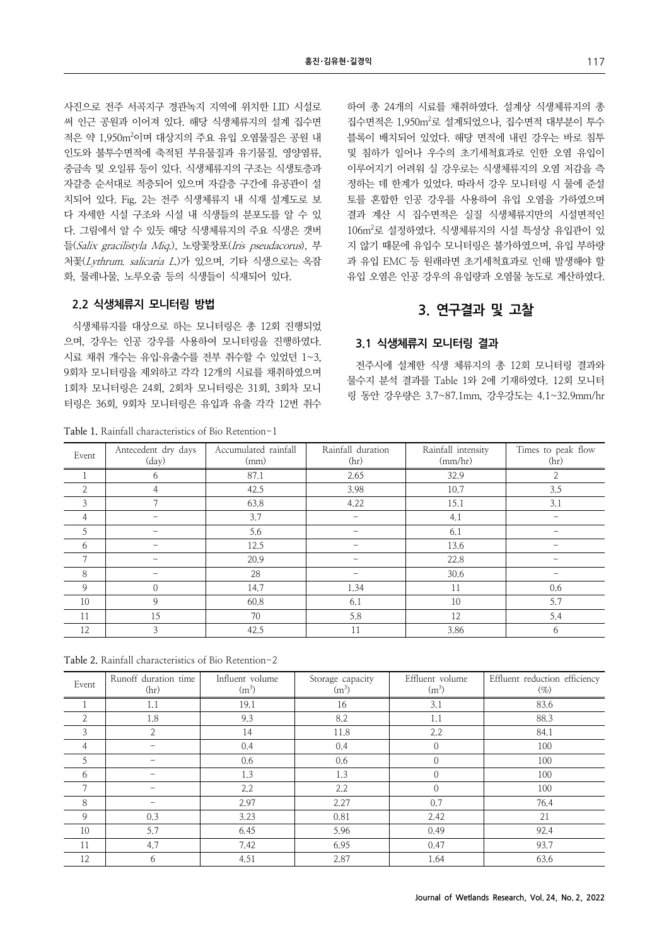사진으로 전주 서곡지구 경관녹지 지역에 위치한 LID 시설로 써 인근 공원과 이어져 있다. 해당 식생체류지의 설계 집수면 적은 약 1,950m<sup>2</sup>이며 대상지의 주요 유입 오염물질은 공원 내 인도와 불투수면적에 축적된 부유물질과 유기물질, 영양염류, 중금속 및 오일류 등이 있다. 식생체류지의 구조는 식생토층과 자갈층 순서대로 적층되어 있으며 자갈층 구간에 유공관이 설 치되어 있다. Fig. 2는 전주 식생체류지 내 식재 설계도로 보 다 자세한 시설 구조와 시설 내 식생들의 분포도를 알 수 있 다. 그림에서 알 수 있듯 해당 식생체류지의 주요 식생은 갯버 들(Salix gracilistyla Miq.), 노랑꽃창포(Iris pseudacorus), 부 처꽃(Lythrum. salicaria L.)가 있으며, 기타 식생으로는 옥잠 화, 물레나물, 노루오줌 등의 식생들이 식재되어 있다.

### **2.2 식생체류지 모니터링 방법**

식생체류지를 대상으로 하는 모니터링은 총 12회 진행되었 으며, 강우는 인공 강우를 사용하여 모니터링을 진행하였다. 시료 채취 개수는 유입·유출수를 전부 취수할 수 있었던 1~3, 9회차 모니터링을 제외하고 각각 12개의 시료를 채취하였으며 1회차 모니터링은 24회, 2회차 모니터링은 31회, 3회차 모니 터링은 36회, 9회차 모니터링은 유입과 유출 각각 12번 취수

**Table 1.** Rainfall characteristics of Bio Retention-1

하여 총 24개의 시료를 채취하였다. 설계상 식생체류지의 총 집수면적은 1,950m2 로 설계되었으나, 집수면적 대부분이 투수 블록이 배치되어 있었다. 해당 면적에 내린 강우는 바로 침투 및 침하가 일어나 우수의 초기세척효과로 인한 오염 유입이 이루어지기 어려워 실 강우로는 식생체류지의 오염 저감을 측 정하는 데 한계가 있었다. 따라서 강우 모니터링 시 물에 준설 토를 혼합한 인공 강우를 사용하여 유입 오염을 가하였으며 결과 계산 시 집수면적은 실질 식생체류지만의 시설면적인 106m2 로 설정하였다. 식생체류지의 시설 특성상 유입관이 있 지 않기 때문에 유입수 모니터링은 불가하였으며, 유입 부하량 과 유입 EMC 등 원래라면 초기세척효과로 인해 발생해야 할 유입 오염은 인공 강우의 유입량과 오염물 농도로 계산하였다.

### **3. 연구결과 및 고찰**

### **3.1 식생체류지 모니터링 결과**

전주시에 설계한 식생 체류지의 총 12회 모니터링 결과와 물수지 분석 결과를 Table 1와 2에 기재하였다. 12회 모니터 링 동안 강우량은 3.7~87.1mm, 강우강도는 4.1~32.9mm/hr

| Event          | Antecedent dry days<br>(day) | Accumulated rainfall<br>(mm) | Rainfall duration<br>(hr) | Rainfall intensity<br>(mm/hr) | Times to peak flow<br>(hr) |
|----------------|------------------------------|------------------------------|---------------------------|-------------------------------|----------------------------|
|                | 6                            | 87.1                         | 2.65                      | 32.9                          |                            |
| $\overline{2}$ |                              | 42.5                         | 3.98                      | 10.7                          | 3.5                        |
| 3              | $\mathcal{L}$                | 63.8                         | 4.22                      | 15.1                          | 3.1                        |
| 4              |                              | 3.7                          |                           | 4.1                           |                            |
| 5              |                              | 5.6                          |                           | 6.1                           |                            |
| 6              |                              | 12.5                         |                           | 13.6                          |                            |
| $\mathcal{L}$  |                              | 20.9                         |                           | 22.8                          |                            |
| 8              |                              | 28                           | $\overline{\phantom{0}}$  | 30.6                          |                            |
| 9              | $\Omega$                     | 14.7                         | 1.34                      | 11                            | 0.6                        |
| 10             | 9                            | 60.8                         | 6.1                       | 10                            | 5.7                        |
| 11             | 15                           | 70                           | 5.8                       | 12                            | 5.4                        |
| 12             | 3                            | 42.5                         | 11                        | 3.86                          | 6                          |

**Table 2.** Rainfall characteristics of Bio Retention-2

| Event         | Runoff duration time<br>(hr) | Influent volume<br>$(m^3)$ | Storage capacity<br>$(m^3)$ | Effluent volume<br>$(m^3)$ | Effluent reduction efficiency<br>$(\%)$ |
|---------------|------------------------------|----------------------------|-----------------------------|----------------------------|-----------------------------------------|
|               | 1.1                          | 19.1                       | 16                          | 3.1                        | 83.6                                    |
| 2             | 1.8                          | 9.3                        | 8.2                         | 1.1                        | 88.3                                    |
| 3             | 2                            | 14                         | 11.8                        | 2.2                        | 84.1                                    |
| 4             |                              | 0.4                        | 0.4                         | $\Omega$                   | 100                                     |
| 5             |                              | 0.6                        | 0.6                         | $\Omega$                   | 100                                     |
| 6             |                              | 1.3                        | 1.3                         | $\Omega$                   | 100                                     |
| $\mathcal{I}$ |                              | 2.2                        | 2.2                         | $\Omega$                   | 100                                     |
| 8             |                              | 2.97                       | 2.27                        | 0.7                        | 76.4                                    |
| 9             | 0.3                          | 3.23                       | 0.81                        | 2.42                       | 21                                      |
| 10            | 5.7                          | 6.45                       | 5.96                        | 0.49                       | 92.4                                    |
| 11            | 4.7                          | 7.42                       | 6.95                        | 0.47                       | 93.7                                    |
| 12            | 6                            | 4.51                       | 2.87                        | 1.64                       | 63.6                                    |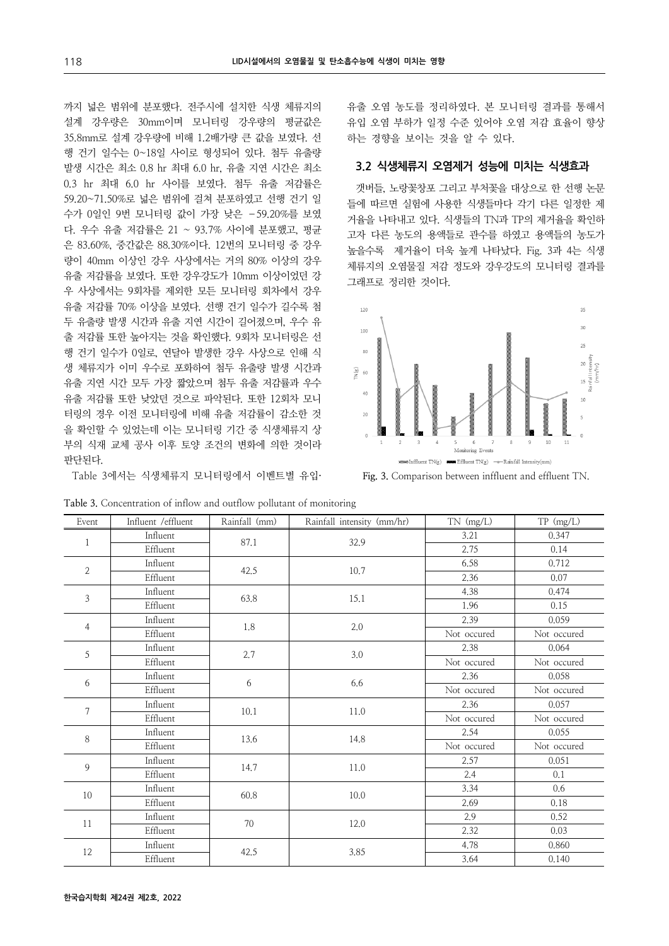까지 넓은 범위에 분포했다. 전주시에 설치한 식생 체류지의 설계 강우량은 30mm이며 모니터링 강우량의 평균값은 35.8mm로 설계 강우량에 비해 1.2배가량 큰 값을 보였다. 선 행 건기 일수는 0~18일 사이로 형성되어 있다. 첨두 유출량 발생 시간은 최소 0.8 hr 최대 6.0 hr, 유출 지연 시간은 최소 0.3 hr 최대 6.0 hr 사이를 보였다. 첨두 유출 저감률은 59.20~71.50%로 넓은 범위에 걸쳐 분포하였고 선행 건기 일 수가 0일인 9번 모니터링 값이 가장 낮은 –59.20%를 보였 다. 우수 유출 저감률은 21 ~ 93.7% 사이에 분포했고, 평균 은 83.60%, 중간값은 88.30%이다. 12번의 모니터링 중 강우 량이 40mm 이상인 강우 사상에서는 거의 80% 이상의 강우 유출 저감률을 보였다. 또한 강우강도가 10mm 이상이었던 강 우 사상에서는 9회차를 제외한 모든 모니터링 회차에서 강우 유출 저감률 70% 이상을 보였다. 선행 건기 일수가 길수록 첨 두 유출량 발생 시간과 유출 지연 시간이 길어졌으며, 우수 유 출 저감률 또한 높아지는 것을 확인했다. 9회차 모니터링은 선 행 건기 일수가 0일로, 연달아 발생한 강우 사상으로 인해 식 생 체류지가 이미 우수로 포화하여 첨두 유출량 발생 시간과 유출 지연 시간 모두 가장 짧았으며 첨두 유출 저감률과 우수 유출 저감률 또한 낮았던 것으로 파악된다. 또한 12회차 모니 터링의 경우 이전 모니터링에 비해 유출 저감률이 감소한 것 을 확인할 수 있었는데 이는 모니터링 기간 중 식생체류지 상 부의 식재 교체 공사 이후 토양 조건의 변화에 의한 것이라 판단된다.

Table 3에서는 식생체류지 모니터링에서 이벤트별 유입·

**Table 3.** Concentration of inflow and outflow pollutant of monitoring

유출 오염 농도를 정리하였다. 본 모니터링 결과를 통해서 유입 오염 부하가 일정 수준 있어야 오염 저감 효율이 향상 하는 경향을 보이는 것을 알 수 있다.

### **3.2 식생체류지 오염제거 성능에 미치는 식생효과**

갯버들, 노랑꽃창포 그리고 부처꽃을 대상으로 한 선행 논문 들에 따르면 실험에 사용한 식생들마다 각기 다른 일정한 제 거율을 나타내고 있다. 식생들의 TN과 TP의 제거율을 확인하 고자 다른 농도의 용액들로 관수를 하였고 용액들의 농도가 높을수록 제거율이 더욱 높게 나타났다. Fig. 3과 4는 식생 체류지의 오염물질 저감 정도와 강우강도의 모니터링 결과를 그래프로 정리한 것이다.



**Fig. 3.** Comparison between inffluent and effluent TN.

| Event          | Influent /effluent | Rainfall (mm) | Rainfall intensity (mm/hr) | $TN$ (mg/L) | TP (mg/L)   |
|----------------|--------------------|---------------|----------------------------|-------------|-------------|
| $\mathbf{1}$   | Influent           | 87.1          | 32.9                       | 3.21        | 0.347       |
|                | Effluent           |               |                            | 2.75        | 0.14        |
| $\mathbf{2}$   | Influent           | 42.5          | 10.7                       | 6.58        | 0.712       |
|                | Effluent           |               |                            | 2.36        | 0.07        |
| 3              | Influent           | 63.8          | 15.1                       | 4.38        | 0.474       |
|                | Effluent           |               |                            | 1.96        | 0.15        |
| $\overline{4}$ | Influent           | 1.8           | 2.0                        | 2.39        | 0.059       |
|                | Effluent           |               |                            | Not occured | Not occured |
| 5              | Influent           | 2.7           | $3.0\,$                    | 2.38        | 0.064       |
|                | Effluent           |               |                            | Not occured | Not occured |
| 6              | Influent           | 6             | 6.6                        | 2.36        | 0.058       |
|                | Effluent           |               |                            | Not occured | Not occured |
| $\tau$         | Influent           | 10.1          | 11.0                       | 2.36        | 0.057       |
|                | Effluent           |               |                            | Not occured | Not occured |
| 8              | Influent           | 13.6          | 14.8                       | 2.54        | 0.055       |
|                | Effluent           |               |                            | Not occured | Not occured |
| 9              | Influent           | 14.7          | 11.0                       | 2.57        | 0.051       |
|                | Effluent           |               |                            | 2.4         | 0.1         |
| 10             | Influent           | 60.8          | 10.0                       | 3.34        | 0.6         |
|                | Effluent           |               |                            | 2.69        | 0.18        |
| 11             | Influent           | $70\,$        | 12.0                       | 2.9         | 0.52        |
|                | Effluent           |               |                            | 2.32        | 0.03        |
|                | Influent           |               | 3.85                       | 4.78        | 0.860       |
| 12             | Effluent           | 42.5          |                            | 3.64        | 0.140       |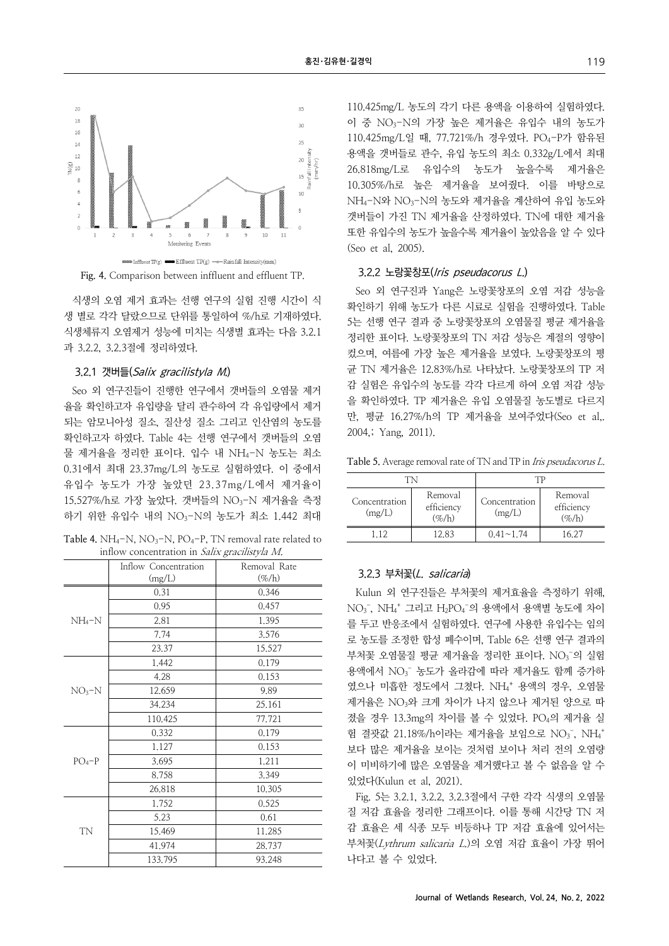

**Fig. 4.** Comparison between inffluent and effluent TP.

식생의 오염 제거 효과는 선행 연구의 실험 진행 시간이 식 생 별로 각각 달랐으므로 단위를 통일하여 %/h로 기재하였다. 식생체류지 오염제거 성능에 미치는 식생별 효과는 다음 3.2.1 과 3.2.2, 3.2.3절에 정리하였다.

#### 3.2.1 갯버들(Salix gracilistyla M.)

Seo 외 연구진들이 진행한 연구에서 갯버들의 오염물 제거 율을 확인하고자 유입량을 달리 관수하여 각 유입량에서 제거 되는 암모니아성 질소, 질산성 질소 그리고 인산염의 농도를 확인하고자 하였다. Table 4는 선행 연구에서 갯버들의 오염 물 제거율을 정리한 표이다. 입수 내 NH4-N 농도는 최소 0.31에서 최대 23.37mg/L의 농도로 실험하였다. 이 중에서 유입수 농도가 가장 높았던 23.37mg/L에서 제거율이 15.527%/h로 가장 높았다. 갯버들의 NO3-N 제거율을 측정 하기 위한 유입수 내의 NO3-N의 농도가 최소 1.442 최대

| Table 4. $NH_4-N$ , $NO_3-N$ , $PO_4-P$ , TN removal rate related to |  |
|----------------------------------------------------------------------|--|
| inflow concentration in <i>Salix gracilistyla M</i> .                |  |

|           | Inflow Concentration | Removal Rate |  |
|-----------|----------------------|--------------|--|
|           | (mg/L)               | $(\%/h)$     |  |
|           | 0.31                 | 0.346        |  |
|           | 0.95                 | 0.457        |  |
| $NH_4-N$  | 2.81                 | 1.395        |  |
|           | 7.74                 | 3.576        |  |
|           | 23.37                | 15,527       |  |
|           | 1.442                | 0.179        |  |
|           | 4.28                 | 0.153        |  |
| $NO3-N$   | 12,659               | 9.89         |  |
|           | 34,234               | 25,161       |  |
|           | 110,425              | 77,721       |  |
|           | 0.332                | 0.179        |  |
|           | 1.127                | 0.153        |  |
| $PO4-P$   | 3.695                | 1.211        |  |
|           | 8.758                | 3.349        |  |
|           | 26.818               | 10.305       |  |
|           | 1,752                | 0.525        |  |
|           | 5.23                 | 0.61         |  |
| <b>TN</b> | 15,469               | 11,285       |  |
|           | 41.974               | 28.737       |  |
|           | 133,795              | 93,248       |  |

110.425mg/L 농도의 각기 다른 용액을 이용하여 실험하였다. 이 중 NO3-N의 가장 높은 제거율은 유입수 내의 농도가 110.425mg/L일 때, 77.721%/h 경우였다. PO4-P가 함유된 용액을 갯버들로 관수, 유입 농도의 최소 0.332g/L에서 최대 26.818mg/L로 유입수의 농도가 높을수록 제거율은 10.305%/h로 높은 제거율을 보여줬다. 이를 바탕으로 NH4-N와 NO3-N의 농도와 제거율을 계산하여 유입 농도와 갯버들이 가진 TN 제거율을 산정하였다. TN에 대한 제거율 또한 유입수의 농도가 높을수록 제거율이 높았음을 알 수 있다 (Seo et al, 2005).

### 3.2.2 노랑꽃창포(Iris pseudacorus L.)

Seo 외 연구진과 Yang은 노랑꽃창포의 오염 저감 성능을 확인하기 위해 농도가 다른 시료로 실험을 진행하였다. Table 5는 선행 연구 결과 중 노랑꽃창포의 오염물질 평균 제거율을 정리한 표이다. 노랑꽃창포의 TN 저감 성능은 계절의 영향이 컸으며, 여름에 가장 높은 제거율을 보였다. 노랑꽃창포의 평 균 TN 제거율은 12.83%/h로 나타났다. 노랑꽃창포의 TP 저 감 실험은 유입수의 농도를 각각 다르게 하여 오염 저감 성능 을 확인하였다. TP 제거율은 유입 오염물질 농도별로 다르지 만, 평균 16.27%/h의 TP 제거율을 보여주었다(Seo et al,. 2004,; Yang, 2011).

**Table 5.** Average removal rate of TN and TP in Iris pseudacorus L.

| TΝ                      |                                     | ТP                      |                                          |  |
|-------------------------|-------------------------------------|-------------------------|------------------------------------------|--|
| Concentration<br>(mg/L) | Removal<br>efficiency<br>$(\% / h)$ | Concentration<br>(mg/L) | Removal<br>efficiency<br>$(\%/\text{h})$ |  |
| 112                     | 12.83                               | $0.41 \sim 1.74$        | 16 27                                    |  |

### 3.2.3 부처꽃(L. salicaria)

Kulun 외 연구진들은 부처꽃의 제거효율을 측정하기 위해,  $NO_3$ ,  $NH_4$ <sup>+</sup> 그리고 H<sub>2</sub>PO<sub>4</sub>-의 용액에서 용액별 농도에 차이 를 두고 반응조에서 실험하였다. 연구에 사용한 유입수는 임의 로 농도를 조정한 합성 폐수이며, Table 6은 선행 연구 결과의 부처꽃 오염물질 평균 제거율을 정리한 표이다. NO<sub>3</sub>-의 실험 용액에서 NO<sub>3</sub> 농도가 올라감에 따라 제거율도 함께 증가하 였으나 미흡한 정도에서 그쳤다. NH4 + 용액의 경우, 오염물 제거율은 NO3와 크게 차이가 나지 않으나 제거된 양으로 따 졌을 경우 13.3mg의 차이를 볼 수 있었다. PO4의 제거율 실 험 결괏값 21.18%/h이라는 제거율을 보임으로 NO<sub>3</sub>, NH<sub>4</sub>+ 보다 많은 제거율을 보이는 것처럼 보이나 처리 전의 오염량 이 미비하기에 많은 오염물을 제거했다고 볼 수 없음을 알 수 있었다(Kulun et al, 2021).

Fig. 5는 3.2.1, 3.2.2, 3.2.3절에서 구한 각각 식생의 오염물 질 저감 효율을 정리한 그래프이다. 이를 통해 시간당 TN 저 감 효율은 세 식종 모두 비등하나 TP 저감 효율에 있어서는 부처꽃(Lythrum salicaria L.)의 오염 저감 효율이 가장 뛰어 나다고 볼 수 있었다.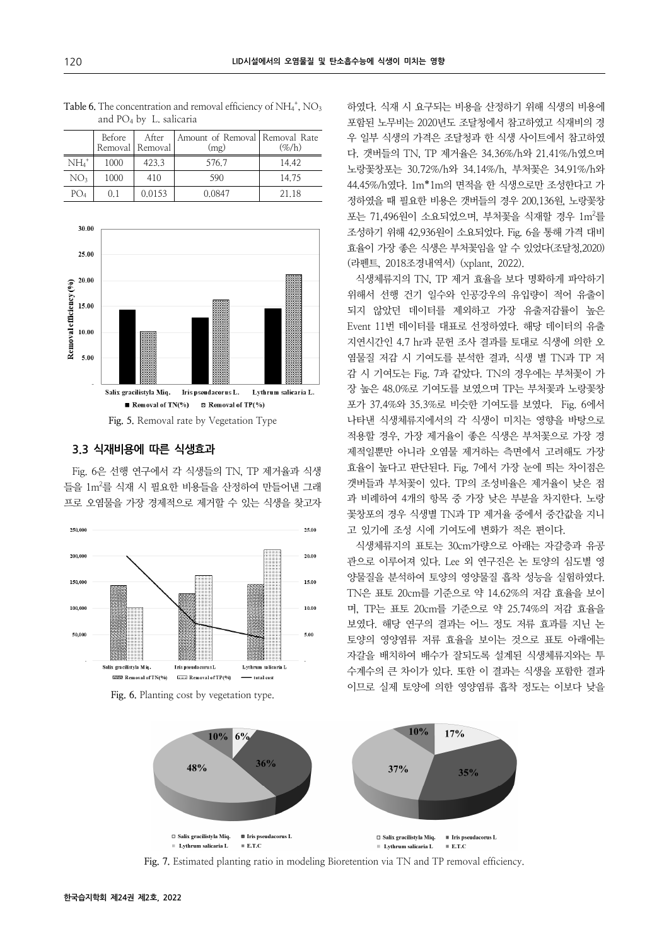|                 | Before | After<br>Removal   Removal | Amount of Removal   Removal Rate<br>(mg) | $(\% / h)$ |
|-----------------|--------|----------------------------|------------------------------------------|------------|
| $NH4+$          | 1000   | 423.3                      | 576.7                                    | 14.42      |
| NO <sub>3</sub> | 1000   | 410                        | 590                                      | 14.75      |
| $PO_4$          | 0.1    | 0.0153                     | 0.0847                                   | 21.18      |





### **3.3 식재비용에 따른 식생효과**

Fig. 6은 선행 연구에서 각 식생들의 TN, TP 제거율과 식생 들을 1m<sup>2</sup>를 식재 시 필요한 비용들을 산정하여 만들어낸 그래 프로 오염물을 가장 경제적으로 제거할 수 있는 식생을 찾고자



Fig. 6. Planting cost by vegetation type.

하였다. 식재 시 요구되는 비용을 산정하기 위해 식생의 비용에 포함된 노무비는 2020년도 조달청에서 참고하였고 식재비의 경 우 일부 식생의 가격은 조달청과 한 식생 사이트에서 참고하였 다. 갯버들의 TN, TP 제거율은 34.36%/h와 21.41%/h였으며 노랑꽃창포는 30.72%/h와 34.14%/h, 부처꽃은 34.91%/h와 44.45%/h였다. 1m\*1m의 면적을 한 식생으로만 조성한다고 가 정하였을 때 필요한 비용은 갯버들의 경우 200,136원, 노랑꽃창 포는 71,496원이 소요되었으며, 부처꽃을 식재할 경우 1m<sup>2</sup>를 조성하기 위해 42,936원이 소요되었다. Fig. 6을 통해 가격 대비 효율이 가장 좋은 식생은 부처꽃임을 알 수 있었다(조달청,2020) (라펜트, 2018조경내역서) (xplant, 2022).

식생체류지의 TN, TP 제거 효율을 보다 명확하게 파악하기 위해서 선행 건기 일수와 인공강우의 유입량이 적어 유출이 되지 않았던 데이터를 제외하고 가장 유출저감률이 높은 Event 11번 데이터를 대표로 선정하였다. 해당 데이터의 유출 지연시간인 4.7 hr과 문헌 조사 결과를 토대로 식생에 의한 오 염물질 저감 시 기여도를 분석한 결과, 식생 별 TN과 TP 저 감 시 기여도는 Fig. 7과 같았다. TN의 경우에는 부처꽃이 가 장 높은 48.0%로 기여도를 보였으며 TP는 부처꽃과 노랑꽃창 포가 37.4%와 35.3%로 비슷한 기여도를 보였다. Fig. 6에서 나타낸 식생체류지에서의 각 식생이 미치는 영향을 바탕으로 적용할 경우, 가장 제거율이 좋은 식생은 부처꽃으로 가장 경 제적일뿐만 아니라 오염물 제거하는 측면에서 고려해도 가장 효율이 높다고 판단된다. Fig. 7에서 가장 눈에 띄는 차이점은 갯버들과 부처꽃이 있다. TP의 조성비율은 제거율이 낮은 점 과 비례하여 4개의 항목 중 가장 낮은 부분을 차지한다. 노랑 꽃창포의 경우 식생별 TN과 TP 제거율 중에서 중간값을 지니 고 있기에 조성 시에 기여도에 변화가 적은 편이다.

식생체류지의 표토는 30cm가량으로 아래는 자갈층과 유공 관으로 이루어져 있다. Lee 외 연구진은 논 토양의 심도별 영 양물질을 분석하여 토양의 영양물질 흡착 성능을 실험하였다. TN은 표토 20cm를 기준으로 약 14.62%의 저감 효율을 보이 며, TP는 표토 20cm를 기준으로 약 25.74%의 저감 효율을 보였다. 해당 연구의 결과는 어느 정도 저류 효과를 지닌 논 토양의 영양염류 저류 효율을 보이는 것으로 표토 아래에는 자갈을 배치하여 배수가 잘되도록 설계된 식생체류지와는 투 수계수의 큰 차이가 있다. 또한 이 결과는 식생을 포함한 결과 이므로 실제 토양에 의한 영양염류 흡착 정도는 이보다 낮을



Fig. 7. Estimated planting ratio in modeling Bioretention via TN and TP removal efficiency.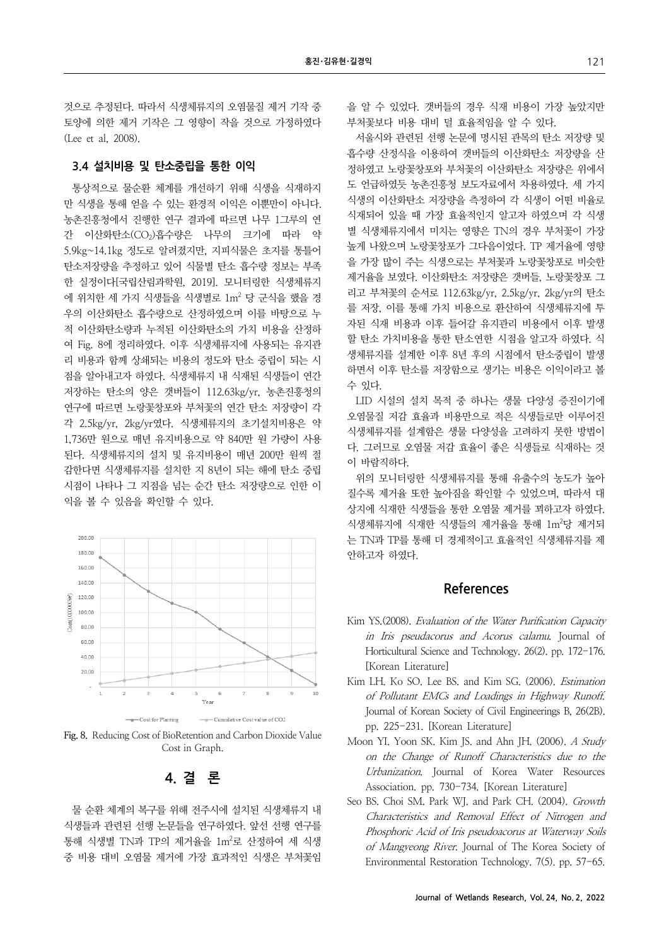것으로 추정된다. 따라서 식생체류지의 오염물질 제거 기작 중 토양에 의한 제거 기작은 그 영향이 작을 것으로 가정하였다 (Lee et al, 2008).

### **3.4 설치비용 및 탄소중립을 통한 이익**

통상적으로 물순환 체계를 개선하기 위해 식생을 식재하지 만 식생을 통해 얻을 수 있는 환경적 이익은 이뿐만이 아니다. 농촌진흥청에서 진행한 연구 결과에 따르면 나무 1그루의 연 간 이산화탄소(CO2)흡수량은 나무의 크기에 따라 약 5.9kg~14.1kg 정도로 알려졌지만, 지피식물은 초지를 통틀어 탄소저장량을 추정하고 있어 식물별 탄소 흡수량 정보는 부족 한 실정이다[국립산림과학원, 2019]. 모니터링한 식생체류지 에 위치한 세 가지 식생들을 식생별로 1m<sup>2</sup> 당 군식을 했을 경 우의 이산화탄소 흡수량으로 산정하였으며 이를 바탕으로 누 적 이산화탄소량과 누적된 이산화탄소의 가치 비용을 산정하 여 Fig. 8에 정리하였다. 이후 식생체류지에 사용되는 유지관 리 비용과 함께 상쇄되는 비용의 정도와 탄소 중립이 되는 시 점을 알아내고자 하였다. 식생체류지 내 식재된 식생들이 연간 저장하는 탄소의 양은 갯버들이 112.63kg/yr, 농촌진흥청의 연구에 따르면 노랑꽃창포와 부처꽃의 연간 탄소 저장량이 각 각 2.5kg/yr, 2kg/yr였다. 식생체류지의 초기설치비용은 약 1,736만 원으로 매년 유지비용으로 약 840만 원 가량이 사용 된다. 식생체류지의 설치 및 유지비용이 매년 200만 원씩 절 감한다면 식생체류지를 설치한 지 8년이 되는 해에 탄소 중립 시점이 나타나 그 지점을 넘는 순간 탄소 저장량으로 인한 이 익을 볼 수 있음을 확인할 수 있다.



**Fig. 8.** Reducing Cost of BioRetention and Carbon Dioxide Value Cost in Graph.

**4. 결 론**

물 순환 체계의 복구를 위해 전주시에 설치된 식생체류지 내 식생들과 관련된 선행 논문들을 연구하였다. 앞선 선행 연구를 통해 식생별 TN과 TP의 제거율을 1m<sup>2</sup>로 산정하여 세 식생 중 비용 대비 오염물 제거에 가장 효과적인 식생은 부처꽃임

을 알 수 있었다. 갯버들의 경우 식재 비용이 가장 높았지만 부처꽃보다 비용 대비 덜 효율적임을 알 수 있다.

서울시와 관련된 선행 논문에 명시된 관목의 탄소 저장량 및 흡수량 산정식을 이용하여 갯버들의 이산화탄소 저장량을 산 정하였고 노랑꽃창포와 부처꽃의 이산화탄소 저장량은 위에서 도 언급하였듯 농촌진흥청 보도자료에서 차용하였다. 세 가지 식생의 이산화탄소 저장량을 측정하여 각 식생이 어떤 비율로 식재되어 있을 때 가장 효율적인지 알고자 하였으며 각 식생 별 식생체류지에서 미치는 영향은 TN의 경우 부처꽃이 가장 높게 나왔으며 노랑꽃창포가 그다음이었다. TP 제거율에 영향 을 가장 많이 주는 식생으로는 부처꽃과 노랑꽃창포로 비슷한 제거율을 보였다. 이산화탄소 저장량은 갯버들, 노랑꽃창포 그 리고 부처꽃의 순서로 112.63kg/yr, 2.5kg/yr, 2kg/yr의 탄소 를 저장, 이를 통해 가치 비용으로 환산하여 식생체류지에 투 자된 식재 비용과 이후 들어갈 유지관리 비용에서 이후 발생 할 탄소 가치비용을 통한 탄소연한 시점을 알고자 하였다. 식 생체류지를 설계한 이후 8년 후의 시점에서 탄소중립이 발생 하면서 이후 탄소를 저장함으로 생기는 비용은 이익이라고 볼 수 있다.

LID 시설의 설치 목적 중 하나는 생물 다양성 증진이기에 오염물질 저감 효율과 비용만으로 적은 식생들로만 이루어진 식생체류지를 설계함은 생물 다양성을 고려하지 못한 방법이 다. 그러므로 오염물 저감 효율이 좋은 식생들로 식재하는 것 이 바람직하다.

위의 모니터링한 식생체류지를 통해 유출수의 농도가 높아 질수록 제거율 또한 높아짐을 확인할 수 있었으며, 따라서 대 상지에 식재한 식생들을 통한 오염물 제거를 꾀하고자 하였다. 식생체류지에 식재한 식생들의 제거율을 통해 1m<sup>2</sup>당 제거되 는 TN과 TP를 통해 더 경제적이고 효율적인 식생체류지를 제 안하고자 하였다.

## **References**

- Kim YS.(2008). Evaluation of the Water Purification Capacity in Iris pseudacorus and Acorus calamu. Journal of Horticultural Science and Technology. 26(2). pp. 172-176. [Korean Literature]
- Kim LH. Ko SO. Lee BS. and Kim SG. (2006). Estimation of Pollutant EMCs and Loadings in Highway Runoff. Journal of Korean Society of Civil Engineerings B, 26(2B). pp. 225-231. [Korean Literature]
- Moon YI. Yoon SK. Kim JS. and Ahn JH. (2006). A Study on the Change of Runoff Characteristics due to the Urbanization. Journal of Korea Water Resources Association. pp. 730-734. [Korean Literature]
- Seo BS. Choi SM. Park WJ. and Park CH. (2004). Growth Characteristics and Removal Effect of Nitrogen and Phosphoric Acid of Iris pseudoacorus at Waterway Soils of Mangyeong River. Journal of The Korea Society of Environmental Restoration Technology. 7(5). pp. 57-65.